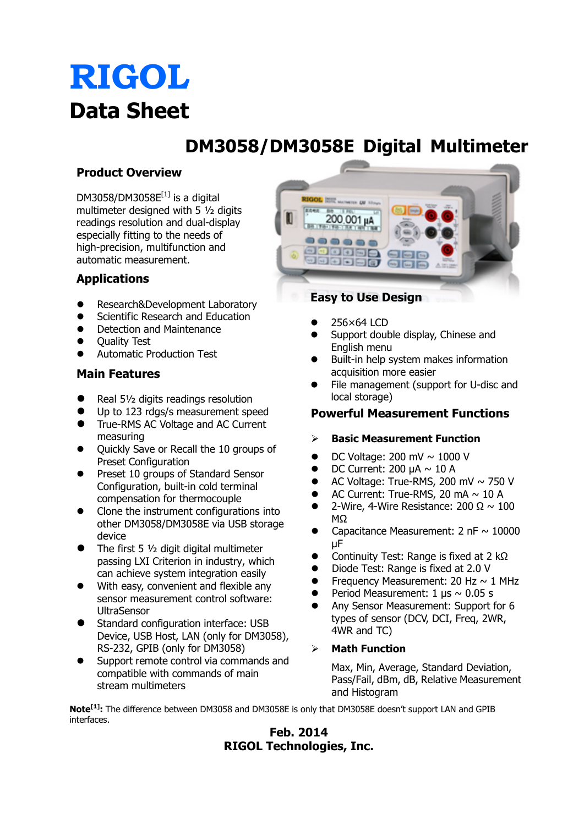# **RIGOL Data Sheet**

## **DM3058/DM3058E Digital Multimeter**

### **Product Overview**

DM3058/DM3058 $E^{[1]}$  is a digital multimeter designed with 5 ½ digits readings resolution and dual-display especially fitting to the needs of high-precision, multifunction and automatic measurement.

### **Applications**

- Research&Development Laboratory
- Scientific Research and Education
- Detection and Maintenance
- **Ouality Test**
- Automatic Production Test

#### **Main Features**

- Real 51/2 digits readings resolution
- Up to 123 rdgs/s measurement speed
- True-RMS AC Voltage and AC Current measuring
- Quickly Save or Recall the 10 groups of Preset Configuration
- Preset 10 groups of Standard Sensor Configuration, built-in cold terminal compensation for thermocouple
- Clone the instrument configurations into other DM3058/DM3058E via USB storage device
- The first 5  $1/2$  digit digital multimeter passing LXI Criterion in industry, which can achieve system integration easily
- With easy, convenient and flexible any sensor measurement control software: UltraSensor
- Standard configuration interface: USB Device, USB Host, LAN (only for DM3058), RS-232, GPIB (only for DM3058)
- Support remote control via commands and compatible with commands of main stream multimeters



- 256×64 LCD
- Support double display, Chinese and English menu
- Built-in help system makes information acquisition more easier
- File management (support for U-disc and local storage)

#### **Powerful Measurement Functions**

#### **Basic Measurement Function**

- DC Voltage: 200 mV  $\sim$  1000 V
- DC Current:  $200 \mu A \sim 10 A$
- AC Voltage: True-RMS, 200 mV  $\sim$  750 V
- AC Current: True-RMS, 20 mA  $\sim$  10 A
- 2-Wire, 4-Wire Resistance:  $200 \Omega \sim 100$ MΩ
- Capacitance Measurement:  $2$  nF  $\sim$  10000  $\mu$ F
- Continuity Test: Range is fixed at  $2 k\Omega$
- Diode Test: Range is fixed at 2.0 V
- Frequency Measurement: 20 Hz  $\sim$  1 MHz
- Period Measurement:  $1 \mu s \sim 0.05 s$
- Any Sensor Measurement: Support for 6 types of sensor (DCV, DCI, Freq, 2WR, 4WR and TC)

#### **Math Function**

Max, Min, Average, Standard Deviation, Pass/Fail, dBm, dB, Relative Measurement and Histogram

**Note[1]:** The difference between DM3058 and DM3058E is only that DM3058E doesn't support LAN and GPIB interfaces.

### **Feb. 2014 RIGOL Technologies, Inc.**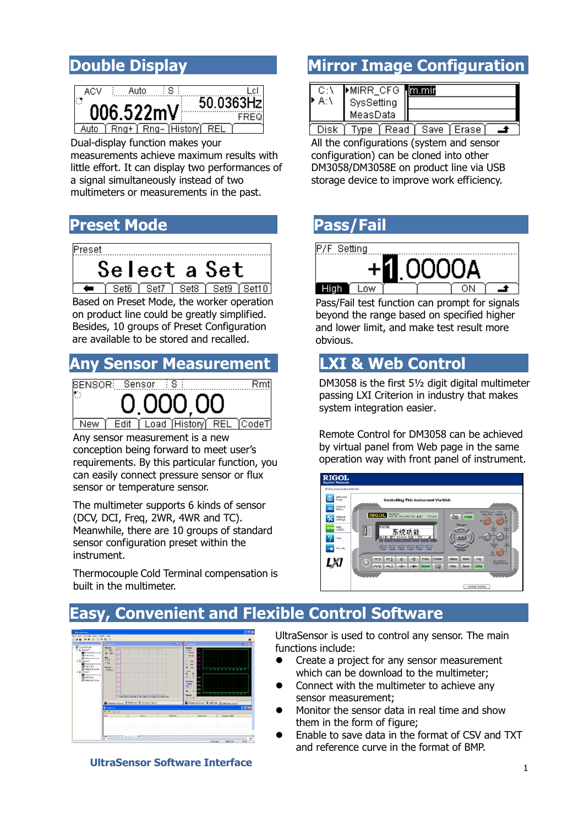

Dual-display function makes your measurements [achieve maximum results with](dict://key.0895DFE8DB67F9409DB285590D870EDD/achieve%20maximum%20results%20with%20little%20effort)  [little effort.](dict://key.0895DFE8DB67F9409DB285590D870EDD/achieve%20maximum%20results%20with%20little%20effort) It can display two performances of a signal simultaneously instead of two multimeters or measurements in the past.

### **Preset Mode Pass/Fail**



 Based on Preset Mode, the worker operation on product line could be greatly simplified. Besides, 10 groups of Preset Configuration are available to be stored and recalled.

### **Any Sensor Measurement LXI & Web Control**



New Edit | Load | History REL **TCodeT** 

 conception being forward to meet user's Any sensor measurement is a new requirements. By this particular function, you can easily connect pressure sensor or flux sensor or temperature sensor.

 The multimeter supports 6 kinds of sensor (DCV, DCI, Freq, 2WR, 4WR and TC). Meanwhile, there are 10 groups of standard sensor configuration preset within the instrument.

Thermocouple Cold Terminal compensation is built in the multimeter.

### **Double Display <b>Mille Strate Mirror Image Configuration**

| MIRR_CFG <b>mmin</b> |  |
|----------------------|--|
| SysSetting           |  |
| MeasData             |  |
|                      |  |

<u>[ Disk | Type | Read | Save | Erase | - ▲</u> All the configurations (system and sensor configuration) can be cloned into other DM3058/DM3058E on product line via USB storage device to improve work efficiency.

P/F Setting High T Low

Pass/Fail test function can prompt for signals beyond the range based on specified higher and lower limit, and make test result more obvious.

DM3058 is the first 5½ digit digital multimeter passing LXI Criterion in industry that makes system integration easier.

Remote Control for DM3058 can be achieved by virtual panel from Web page in the same operation way with front panel of instrument.



## **Easy, Convenient and Flexible Control Software**



**UltraSensor Software Interface**

UltraSensor is used to control any sensor. The main functions include:

- Create a project for any sensor measurement which can be download to the multimeter;
- Connect with the multimeter to achieve any sensor measurement;
- Monitor the sensor data in real time and show them in the form of figure;
- Enable to save data in the format of CSV and TXT and reference curve in the format of BMP.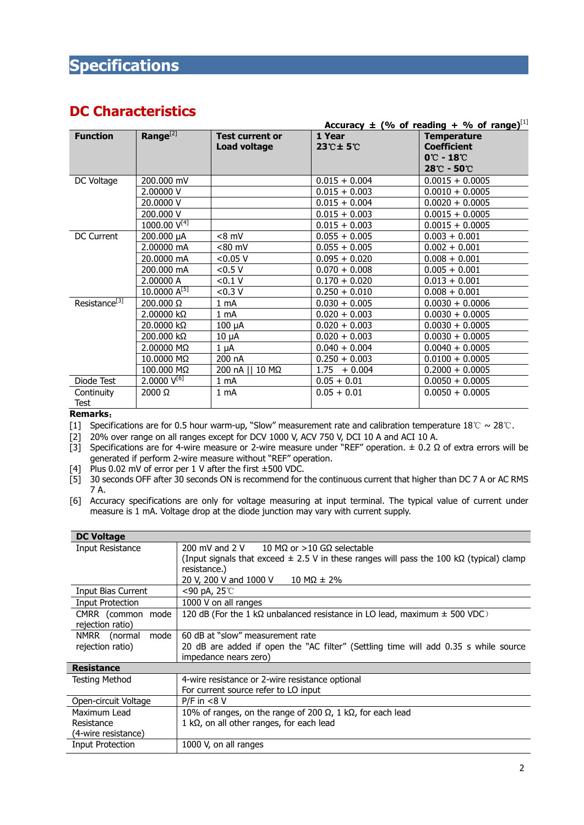### **Specifications**

### **DC Characteristics**

|                           |                                   |                        |                                      | <u>Accuracy <math>\pm</math> (% of reading + % of range)</u> |
|---------------------------|-----------------------------------|------------------------|--------------------------------------|--------------------------------------------------------------|
| <b>Function</b>           | Range $^{[2]}$                    | <b>Test current or</b> | 1 Year                               | <b>Temperature</b>                                           |
|                           |                                   | <b>Load voltage</b>    | $23^\circ \text{+} 5^\circ \text{+}$ | <b>Coefficient</b>                                           |
|                           |                                   |                        |                                      | $0^\circ$ - 18 $^\circ$                                      |
|                           |                                   |                        |                                      | $28^{\circ}\text{C}$ - 50 $^{\circ}\text{C}$                 |
| DC Voltage                | 200.000 mV                        |                        | $0.015 + 0.004$                      | $0.0015 + 0.0005$                                            |
|                           | 2,00000 V                         |                        | $0.015 + 0.003$                      | $0.0010 + 0.0005$                                            |
|                           | 20.0000 V                         |                        | $0.015 + 0.004$                      | $0.0020 + 0.0005$                                            |
|                           | 200.000 V                         |                        | $0.015 + 0.003$                      | $0.0015 + 0.0005$                                            |
|                           | 1000.00 $\overline{V^{[4]}}$      |                        | $0.015 + 0.003$                      | $0.0015 + 0.0005$                                            |
| DC Current                | 200.000 µA                        | $< 8$ mV               | $0.055 + 0.005$                      | $0.003 + 0.001$                                              |
|                           | 2.00000 mA                        | $< 80$ mV              | $0.055 + 0.005$                      | $0.002 + 0.001$                                              |
|                           | 20.0000 mA                        | < 0.05 V               | $0.095 + 0.020$                      | $0.008 + 0.001$                                              |
|                           | 200.000 mA                        | < 0.5 V                | $0.070 + 0.008$                      | $0.005 + 0.001$                                              |
|                           | 2.00000 A                         | < 0.1 V                | $0.170 + 0.020$                      | $0.013 + 0.001$                                              |
|                           | $10.0000 A^{[5]}$                 | <0.3 V                 | $0.250 + 0.010$                      | $0.008 + 0.001$                                              |
| Resistance <sup>[3]</sup> | 200.000 Ω                         | 1 mA                   | $0.030 + 0.005$                      | $0.0030 + 0.0006$                                            |
|                           | 2.00000 kΩ                        | 1 mA                   | $0.020 + 0.003$                      | $0.0030 + 0.0005$                                            |
|                           | 20.0000 kΩ                        | $100 \mu A$            | $0.020 + 0.003$                      | $0.0030 + 0.0005$                                            |
|                           | 200.000 kΩ                        | $10 \mu A$             | $0.020 + 0.003$                      | $0.0030 + 0.0005$                                            |
|                           | 2.00000 MΩ                        | 1 μA                   | $0.040 + 0.004$                      | $0.0040 + 0.0005$                                            |
|                           | 10.0000 MΩ                        | 200 nA                 | $0.250 + 0.003$                      | $0.0100 + 0.0005$                                            |
|                           | 100.000 MΩ                        | 200 nA    10 MΩ        | $1.75 + 0.004$                       | $0.2000 + 0.0005$                                            |
| Diode Test                | $2.0000 \, \rm{V}$ <sup>[6]</sup> | 1 mA                   | $0.05 + 0.01$                        | $0.0050 + 0.0005$                                            |
| Continuity                | $2000 \Omega$                     | $1 \text{ mA}$         | $0.05 + 0.01$                        | $0.0050 + 0.0005$                                            |
| Test                      |                                   |                        |                                      |                                                              |

#### **Remarks**˖

[1] Specifications are for 0.5 hour warm-up, "Slow" measurement rate and calibration temperature  $18^{\circ}$ C ~ 28 $^{\circ}$ C.

[2] 20% over range on all ranges except for DCV 1000 V, ACV 750 V, DCI 10 A and ACI 10 A.

[3] Specifications are for 4-wire measure or 2-wire measure under "REF" operation.  $\pm$  0.2  $\Omega$  of extra errors will be generated if perform 2-wire measure without "REF" operation.

[4] Plus 0.02 mV of error per 1 V after the first  $\pm 500$  VDC.

[5] 30 seconds OFF after 30 seconds ON is recommend for the continuous current that higher than DC 7 A or AC RMS 7 A.

[6] Accuracy specifications are only for voltage measuring at input terminal. The typical value of current under measure is 1 mA. Voltage drop at the diode junction may vary with current supply.

| <b>DC Voltage</b>                                 |                                                                                                                                                                                                                                                  |  |  |
|---------------------------------------------------|--------------------------------------------------------------------------------------------------------------------------------------------------------------------------------------------------------------------------------------------------|--|--|
| <b>Input Resistance</b>                           | 200 mV and 2 V $10 \text{ M}\Omega$ or $>10 \text{ G}\Omega$ selectable<br>(Input signals that exceed $\pm$ 2.5 V in these ranges will pass the 100 kQ (typical) clamp<br>resistance.)<br>20 V, 200 V and 1000 V<br>$10 \text{ M}\Omega \pm 2\%$ |  |  |
| Input Bias Current                                | $<$ 90 pA, 25 $\degree$ C                                                                                                                                                                                                                        |  |  |
| Input Protection                                  | 1000 V on all ranges                                                                                                                                                                                                                             |  |  |
| CMRR (common mode<br>rejection ratio)             | 120 dB (For the 1 k $\Omega$ unbalanced resistance in LO lead, maximum $\pm$ 500 VDC)                                                                                                                                                            |  |  |
| NMRR (normal<br>mode<br>rejection ratio)          | 60 dB at "slow" measurement rate<br>20 dB are added if open the "AC filter" (Settling time will add 0.35 s while source<br>impedance nears zero)                                                                                                 |  |  |
| <b>Resistance</b>                                 |                                                                                                                                                                                                                                                  |  |  |
| Testing Method                                    | 4-wire resistance or 2-wire resistance optional<br>For current source refer to LO input                                                                                                                                                          |  |  |
| Open-circuit Voltage                              | $P/F$ in $< 8 V$                                                                                                                                                                                                                                 |  |  |
| Maximum Lead<br>Resistance<br>(4-wire resistance) | 10% of ranges, on the range of 200 $\Omega$ , 1 k $\Omega$ , for each lead<br>1 k $\Omega$ , on all other ranges, for each lead                                                                                                                  |  |  |
| <b>Input Protection</b>                           | 1000 V, on all ranges                                                                                                                                                                                                                            |  |  |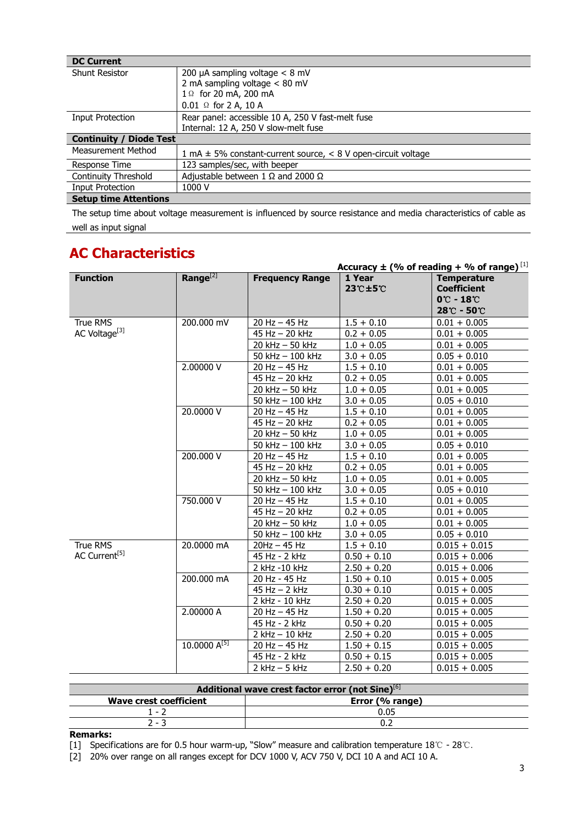| <b>DC Current</b>              |                                                                       |  |
|--------------------------------|-----------------------------------------------------------------------|--|
| <b>Shunt Resistor</b>          | 200 µA sampling voltage $<$ 8 mV                                      |  |
|                                | 2 mA sampling voltage $< 80$ mV                                       |  |
|                                | 1 Ω for 20 mA, 200 mA                                                 |  |
|                                | $0.01 \Omega$ for 2 A, 10 A                                           |  |
| <b>Input Protection</b>        | Rear panel: accessible 10 A, 250 V fast-melt fuse                     |  |
|                                | Internal: 12 A, 250 V slow-melt fuse                                  |  |
| <b>Continuity / Diode Test</b> |                                                                       |  |
| Measurement Method             | 1 mA $\pm$ 5% constant-current source, $\lt$ 8 V open-circuit voltage |  |
| Response Time                  | 123 samples/sec, with beeper                                          |  |
| Continuity Threshold           | Adjustable between 1 $\Omega$ and 2000 $\Omega$                       |  |
| Input Protection               | 1000 V                                                                |  |
| <b>Setup time Attentions</b>   |                                                                       |  |

The setup time about voltage measurement is influenced by source resistance and media characteristics of cable as well as input signal

### **AC Characteristics**

|                           |                      |                        |                    | <u>Accuracy <math>\pm</math> (% of reading + % of range)</u> $^{[1]}$                  |
|---------------------------|----------------------|------------------------|--------------------|----------------------------------------------------------------------------------------|
| <b>Function</b>           | Range <sup>[2]</sup> | <b>Frequency Range</b> | 1 Year<br>23°C±5°C | <b>Temperature</b><br><b>Coefficient</b><br>$0^\circ$ C - 18 $^\circ$ C<br>28°C - 50°C |
| <b>True RMS</b>           | 200.000 mV           | $20$ Hz $-$ 45 Hz      | $1.5 + 0.10$       | $0.01 + 0.005$                                                                         |
| AC Voltage <sup>[3]</sup> |                      | 45 Hz - 20 kHz         | $0.2 + 0.05$       | $0.01 + 0.005$                                                                         |
|                           |                      | 20 kHz - 50 kHz        | $1.0 + 0.05$       | $0.01 + 0.005$                                                                         |
|                           |                      | 50 kHz $-$ 100 kHz     | $3.0 + 0.05$       | $0.05 + 0.010$                                                                         |
|                           | 2.00000 V            | 20 Hz - 45 Hz          | $1.5 + 0.10$       | $0.01 + 0.005$                                                                         |
|                           |                      | 45 Hz - 20 kHz         | $0.2 + 0.05$       | $0.01 + 0.005$                                                                         |
|                           |                      | 20 kHz - 50 kHz        | $1.0 + 0.05$       | $0.01 + 0.005$                                                                         |
|                           |                      | 50 kHz - 100 kHz       | $3.0 + 0.05$       | $0.05 + 0.010$                                                                         |
|                           | 20.0000 V            | 20 Hz - 45 Hz          | $1.5 + 0.10$       | $0.01 + 0.005$                                                                         |
|                           |                      | 45 Hz - 20 kHz         | $0.2 + 0.05$       | $0.01 + 0.005$                                                                         |
|                           |                      | 20 kHz - 50 kHz        | $1.0 + 0.05$       | $0.01 + 0.005$                                                                         |
|                           |                      | 50 kHz - 100 kHz       | $3.0 + 0.05$       | $0.05 + 0.010$                                                                         |
|                           | 200.000 V            | $20$ Hz $-$ 45 Hz      | $1.5 + 0.10$       | $0.01 + 0.005$                                                                         |
|                           |                      | 45 Hz - 20 kHz         | $0.2 + 0.05$       | $0.01 + 0.005$                                                                         |
|                           |                      | $20$ kHz $-50$ kHz     | $1.0 + 0.05$       | $0.01 + 0.005$                                                                         |
|                           |                      | 50 kHz - 100 kHz       | $3.0 + 0.05$       | $0.05 + 0.010$                                                                         |
|                           | 750.000 V            | $20$ Hz $-$ 45 Hz      | $1.5 + 0.10$       | $0.01 + 0.005$                                                                         |
|                           |                      | 45 Hz - 20 kHz         | $0.2 + 0.05$       | $0.01 + 0.005$                                                                         |
|                           |                      | 20 kHz - 50 kHz        | $1.0 + 0.05$       | $0.01 + 0.005$                                                                         |
|                           |                      | 50 kHz - 100 kHz       | $3.0 + 0.05$       | $0.05 + 0.010$                                                                         |
| True RMS                  | 20.0000 mA           | $20Hz - 45Hz$          | $1.5 + 0.10$       | $0.015 + 0.015$                                                                        |
| AC Current <sup>[5]</sup> |                      | 45 Hz - 2 kHz          | $0.50 + 0.10$      | $0.015 + 0.006$                                                                        |
|                           |                      | 2 kHz -10 kHz          | $2.50 + 0.20$      | $0.015 + 0.006$                                                                        |
|                           | 200.000 mA           | 20 Hz - 45 Hz          | $1.50 + 0.10$      | $0.015 + 0.005$                                                                        |
|                           |                      | $45$ Hz $-$ 2 kHz      | $0.30 + 0.10$      | $0.015 + 0.005$                                                                        |
|                           |                      | 2 kHz - 10 kHz         | $2.50 + 0.20$      | $0.015 + 0.005$                                                                        |
|                           | 2.00000 A            | 20 Hz $-$ 45 Hz        | $1.50 + 0.20$      | $0.015 + 0.005$                                                                        |
|                           |                      | 45 Hz - 2 kHz          | $0.50 + 0.20$      | $0.015 + 0.005$                                                                        |
|                           |                      | $2$ kHz $-10$ kHz      | $2.50 + 0.20$      | $0.015 + 0.005$                                                                        |
|                           | $10,0000 A^{[5]}$    | $20$ Hz $-$ 45 Hz      | $1.50 + 0.15$      | $0.015 + 0.005$                                                                        |
|                           |                      | 45 Hz - 2 kHz          | $0.50 + 0.15$      | $0.015 + 0.005$                                                                        |
|                           |                      | $2$ kHz $-5$ kHz       | $2.50 + 0.20$      | $0.015 + 0.005$                                                                        |

| Additional wave crest factor error (not Sine)[6] |                 |  |
|--------------------------------------------------|-----------------|--|
| <b>Wave crest coefficient</b>                    | Error (% range) |  |
| 1 = V                                            | 0.05            |  |
| າ - -                                            |                 |  |
| <b>B</b> and and and                             |                 |  |

**Remarks:**

[1] Specifications are for 0.5 hour warm-up, "Slow" measure and calibration temperature  $18^{\circ}$  - 28°C.

[2] 20% over range on all ranges except for DCV 1000 V, ACV 750 V, DCI 10 A and ACI 10 A.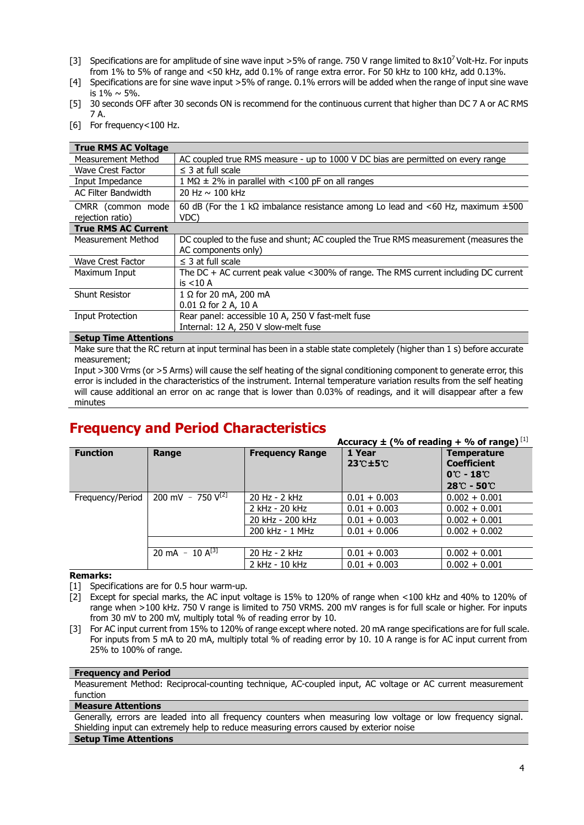- [3] Specifications are for amplitude of sine wave input >5% of range. 750 V range limited to  $8x10^7$  Volt-Hz. For inputs from 1% to 5% of range and <50 kHz, add 0.1% of range extra error. For 50 kHz to 100 kHz, add 0.13%.
- [4] Specifications are for sine wave input >5% of range. 0.1% errors will be added when the range of input sine wave is  $1\% \sim 5\%$ .
- [5] 30 seconds OFF after 30 seconds ON is recommend for the continuous current that higher than DC 7 A or AC RMS 7 A.
- [6] For frequency<100 Hz.

| <b>True RMS AC Voltage</b>            |                                                                                                      |  |  |
|---------------------------------------|------------------------------------------------------------------------------------------------------|--|--|
| <b>Measurement Method</b>             | AC coupled true RMS measure - up to 1000 V DC bias are permitted on every range                      |  |  |
| <b>Wave Crest Factor</b>              | $\leq$ 3 at full scale                                                                               |  |  |
| Input Impedance                       | $1 M\Omega \pm 2\%$ in parallel with <100 pF on all ranges                                           |  |  |
| AC Filter Bandwidth                   | 20 Hz $\sim$ 100 kHz                                                                                 |  |  |
| CMRR (common mode<br>rejection ratio) | 60 dB (For the 1 k $\Omega$ imbalance resistance among Lo lead and <60 Hz, maximum $\pm 500$<br>VDC) |  |  |
| <b>True RMS AC Current</b>            |                                                                                                      |  |  |
| Measurement Method                    | DC coupled to the fuse and shunt; AC coupled the True RMS measurement (measures the                  |  |  |
|                                       | AC components only)                                                                                  |  |  |
| Wave Crest Factor                     | $\leq$ 3 at full scale                                                                               |  |  |
| Maximum Input                         | The DC + AC current peak value <300% of range. The RMS current including DC current                  |  |  |
|                                       | is $<$ 10 A                                                                                          |  |  |
| <b>Shunt Resistor</b>                 | $1 \Omega$ for 20 mA, 200 mA                                                                         |  |  |
|                                       | $0.01 \Omega$ for 2 A, 10 A                                                                          |  |  |
| <b>Input Protection</b>               | Rear panel: accessible 10 A, 250 V fast-melt fuse                                                    |  |  |
|                                       | Internal: 12 A, 250 V slow-melt fuse                                                                 |  |  |

#### **Setup Time Attentions**

Make sure that the RC return at input terminal has been in a stable state completely (higher than 1 s) before accurate measurement;

Input >300 Vrms (or >5 Arms) will cause the self heating of the signal conditioning component to generate error, this error is included in the characteristics of the instrument. Internal temperature variation results from the self heating will cause additional an error on ac range that is lower than 0.03% of readings, and it will disappear after a few minutes

### **Frequency and Period Characteristics**

|                  |                         |                        | Accuracy $\pm$ (% of reading + % of range) $^{[1]}$ |                                                                                                                     |
|------------------|-------------------------|------------------------|-----------------------------------------------------|---------------------------------------------------------------------------------------------------------------------|
| <b>Function</b>  | Range                   | <b>Frequency Range</b> | 1 Year<br>$23^\circ$ C $\pm$ 5 $\circ$              | <b>Temperature</b><br><b>Coefficient</b><br>$0^\circ$ - 18 $^\circ$<br>$28^{\circ}\text{C}$ - 50 $^{\circ}\text{C}$ |
| Frequency/Period | 200 mV - 750 $\sqrt{2}$ | 20 Hz - 2 kHz          | $0.01 + 0.003$                                      | $0.002 + 0.001$                                                                                                     |
|                  |                         | 2 kHz - 20 kHz         | $0.01 + 0.003$                                      | $0.002 + 0.001$                                                                                                     |
|                  |                         | 20 kHz - 200 kHz       | $0.01 + 0.003$                                      | $0.002 + 0.001$                                                                                                     |
|                  |                         | 200 kHz - 1 MHz        | $0.01 + 0.006$                                      | $0.002 + 0.002$                                                                                                     |
|                  |                         |                        |                                                     |                                                                                                                     |
|                  | 20 mA - $10 A^{[3]}$    | 20 Hz - 2 kHz          | $0.01 + 0.003$                                      | $0.002 + 0.001$                                                                                                     |
|                  |                         | 2 kHz - 10 kHz         | $0.01 + 0.003$                                      | $0.002 + 0.001$                                                                                                     |

#### **Remarks:**

[1] Specifications are for 0.5 hour warm-up.

[2] Except for special marks, the AC input voltage is 15% to 120% of range when <100 kHz and 40% to 120% of range when >100 kHz. 750 V range is limited to 750 VRMS. 200 mV ranges is for full scale or higher. For inputs from 30 mV to 200 mV, multiply total % of reading error by 10.

[3] For AC input current from 15% to 120% of range except where noted. 20 mA range specifications are for full scale. For inputs from 5 mA to 20 mA, multiply total % of reading error by 10. 10 A range is for AC input current from 25% to 100% of range.

#### **Frequency and Period**

Measurement Method: Reciprocal-counting technique, AC-coupled input, AC voltage or AC current measurement function

#### **Measure Attentions**

Generally, errors are leaded into all frequency counters when measuring low voltage or low frequency signal. Shielding input can extremely help to reduce measuring errors caused by exterior noise

#### **Setup Time Attentions**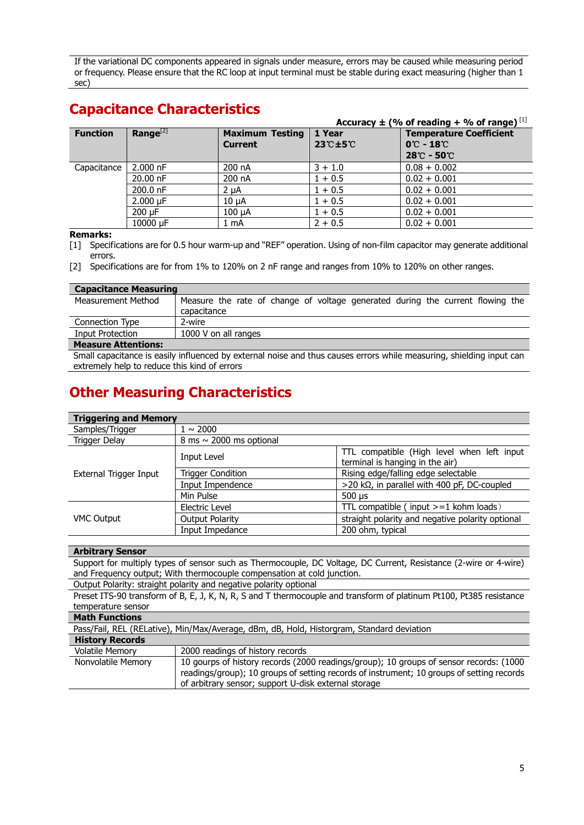If the variational DC components appeared in signals under measure, errors may be caused while measuring period or frequency. Please ensure that the RC loop at input terminal must be stable during exact measuring (higher than 1 sec)

### **Capacitance Characteristics**

|                 |               |                                          |                                               | Accuracy $\pm$ (% of reading + % of range) [1]                                                |
|-----------------|---------------|------------------------------------------|-----------------------------------------------|-----------------------------------------------------------------------------------------------|
| <b>Function</b> | $Range^{[2]}$ | <b>Maximum Testing</b><br><b>Current</b> | 1 Year<br>$23^\circ \text{+}5^\circ \text{C}$ | <b>Temperature Coefficient</b><br>$0^\circ$ C - 18 $^\circ$ C<br>$28^\circ$ C - 50 $^\circ$ C |
| Capacitance     | $2.000$ nF    | 200 nA                                   | $3 + 1.0$                                     | $0.08 + 0.002$                                                                                |
|                 | $20.00$ nF    | 200 nA                                   | $1 + 0.5$                                     | $0.02 + 0.001$                                                                                |
|                 | 200.0 nF      | $2 \mu A$                                | $1 + 0.5$                                     | $0.02 + 0.001$                                                                                |
|                 | $2.000 \mu F$ | $10 \mu A$                               | $1 + 0.5$                                     | $0.02 + 0.001$                                                                                |
|                 | 200 uF        | 100 uA                                   | $1 + 0.5$                                     | $0.02 + 0.001$                                                                                |
|                 | 10000 µF      | 1 mA                                     | $2 + 0.5$                                     | $0.02 + 0.001$                                                                                |

#### **Remarks:**

[1] Specifications are for 0.5 hour warm-up and "REF" operation. Using of non-film capacitor may generate additional errors.

[2] Specifications are for from 1% to 120% on 2 nF range and ranges from 10% to 120% on other ranges.

| <b>Capacitance Measuring</b>                                                                                         |                                                                                |  |
|----------------------------------------------------------------------------------------------------------------------|--------------------------------------------------------------------------------|--|
| Measurement Method                                                                                                   | Measure the rate of change of voltage generated during the current flowing the |  |
|                                                                                                                      | capacitance                                                                    |  |
| Connection Type                                                                                                      | 2-wire                                                                         |  |
| Input Protection                                                                                                     | 1000 V on all ranges                                                           |  |
| <b>Measure Attentions:</b>                                                                                           |                                                                                |  |
| Small capacitance is easily influenced by external noise and thus causes errors while measuring, shielding input can |                                                                                |  |

extremely help to reduce this kind of errors

### **Other Measuring Characteristics**

| <b>Triggering and Memory</b> |                              |                                                                               |  |
|------------------------------|------------------------------|-------------------------------------------------------------------------------|--|
| Samples/Trigger              | $1 \sim 2000$                |                                                                               |  |
| Trigger Delay                | 8 ms $\sim$ 2000 ms optional |                                                                               |  |
|                              | Input Level                  | TTL compatible (High level when left input<br>terminal is hanging in the air) |  |
| External Trigger Input       | <b>Trigger Condition</b>     | Rising edge/falling edge selectable                                           |  |
|                              | Input Impendence             | $>$ 20 k $\Omega$ , in parallel with 400 pF, DC-coupled                       |  |
|                              | Min Pulse                    | $500 \mu s$                                                                   |  |
|                              | Electric Level               | TTL compatible ( $input >= 1$ kohm loads)                                     |  |
| <b>VMC Output</b>            | <b>Output Polarity</b>       | straight polarity and negative polarity optional                              |  |
|                              | Input Impedance              | 200 ohm, typical                                                              |  |

#### **Arbitrary Sensor**

Support for multiply types of sensor such as Thermocouple, DC Voltage, DC Current, Resistance (2-wire or 4-wire) and Frequency output; With thermocouple compensation at cold junction.

Output Polarity: straight polarity and negative polarity optional

Preset ITS-90 transform of B, E, J, K, N, R, S and T thermocouple and transform of platinum Pt100, Pt385 resistance temperature sensor

| <b>Math Functions</b>  |                                                                                                                                                                                                                                             |  |  |  |
|------------------------|---------------------------------------------------------------------------------------------------------------------------------------------------------------------------------------------------------------------------------------------|--|--|--|
|                        | Pass/Fail, REL (RELative), Min/Max/Average, dBm, dB, Hold, Historgram, Standard deviation                                                                                                                                                   |  |  |  |
| <b>History Records</b> |                                                                                                                                                                                                                                             |  |  |  |
| <b>Volatile Memory</b> | 2000 readings of history records                                                                                                                                                                                                            |  |  |  |
| Nonvolatile Memory     | 10 gourps of history records (2000 readings/group); 10 groups of sensor records: (1000<br>readings/group); 10 groups of setting records of instrument; 10 groups of setting records<br>of arbitrary sensor; support U-disk external storage |  |  |  |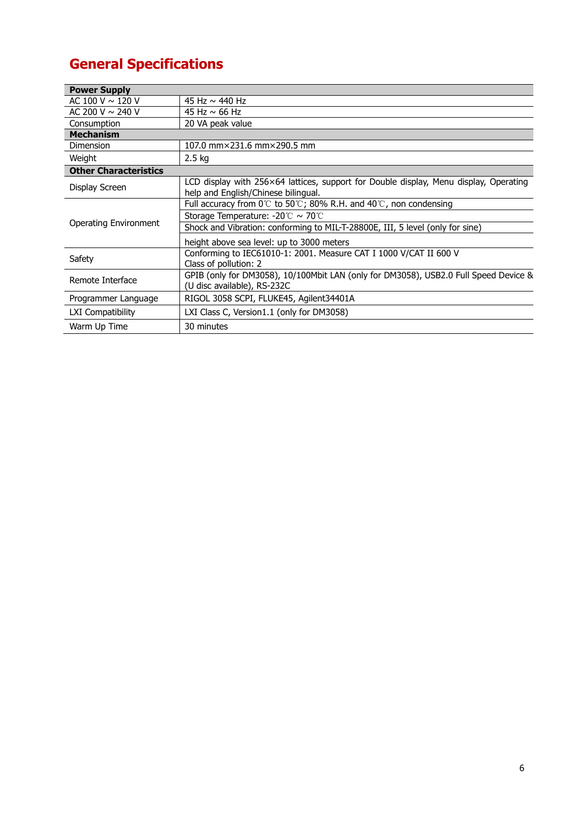## **General Specifications**

| <b>Power Supply</b>          |                                                                                                                              |
|------------------------------|------------------------------------------------------------------------------------------------------------------------------|
| AC 100 V ~ 120 V             | 45 Hz ~ 440 Hz                                                                                                               |
| AC 200 V ~ 240 V             | 45 Hz $\sim$ 66 Hz                                                                                                           |
| Consumption                  | 20 VA peak value                                                                                                             |
| <b>Mechanism</b>             |                                                                                                                              |
| Dimension                    | 107.0 mm×231.6 mm×290.5 mm                                                                                                   |
| Weight                       | 2.5 kg                                                                                                                       |
| <b>Other Characteristics</b> |                                                                                                                              |
| Display Screen               | LCD display with 256×64 lattices, support for Double display, Menu display, Operating<br>help and English/Chinese bilingual. |
| <b>Operating Environment</b> | Full accuracy from $0^{\circ}$ to 50°C; 80% R.H. and 40°C, non condensing                                                    |
|                              | Storage Temperature: $-20^{\circ}$ C ~ 70°C                                                                                  |
|                              | Shock and Vibration: conforming to MIL-T-28800E, III, 5 level (only for sine)                                                |
|                              | height above sea level: up to 3000 meters                                                                                    |
| Safety                       | Conforming to IEC61010-1: 2001. Measure CAT I 1000 V/CAT II 600 V<br>Class of pollution: 2                                   |
| Remote Interface             | GPIB (only for DM3058), 10/100Mbit LAN (only for DM3058), USB2.0 Full Speed Device &<br>(U disc available), RS-232C          |
| Programmer Language          | RIGOL 3058 SCPI, FLUKE45, Agilent34401A                                                                                      |
| LXI Compatibility            | LXI Class C, Version1.1 (only for DM3058)                                                                                    |
| Warm Up Time                 | 30 minutes                                                                                                                   |